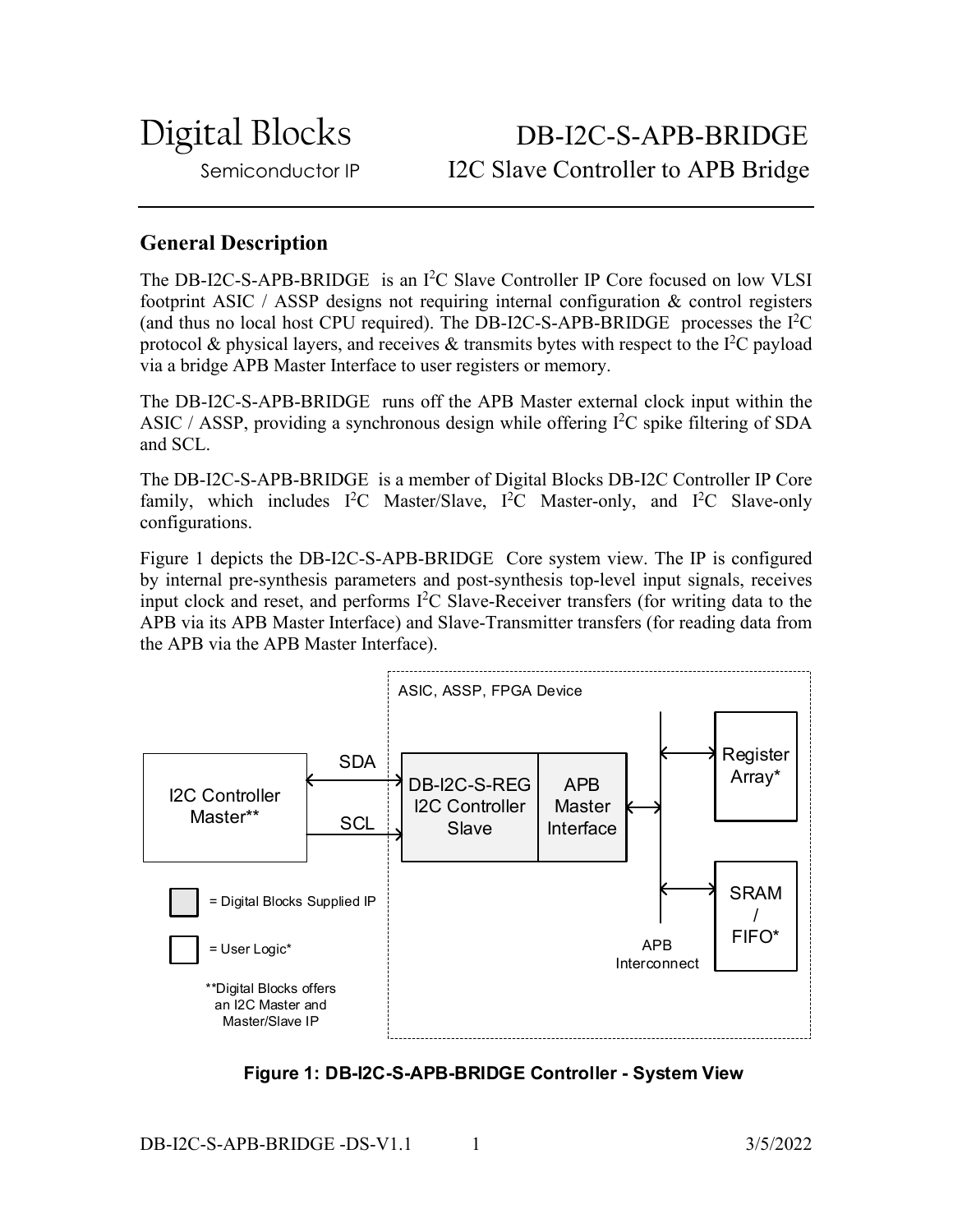Digital Blocks DB-I2C-S-APB-BRIDGE Semiconductor IP I2C Slave Controller to APB Bridge

# **General Description**

The DB-I2C-S-APB-BRIDGE is an  $I^2C$  Slave Controller IP Core focused on low VLSI footprint ASIC / ASSP designs not requiring internal configuration & control registers (and thus no local host CPU required). The DB-I2C-S-APB-BRIDGE processes the  $I<sup>2</sup>C$ protocol & physical layers, and receives & transmits bytes with respect to the  $I^2C$  payload via a bridge APB Master Interface to user registers or memory.

The DB-I2C-S-APB-BRIDGE runs off the APB Master external clock input within the ASIC / ASSP, providing a synchronous design while offering  $I<sup>2</sup>C$  spike filtering of SDA and SCL.

The DB-I2C-S-APB-BRIDGE is a member of Digital Blocks DB-I2C Controller IP Core family, which includes  $I^2C$  Master/Slave,  $I^2C$  Master-only, and  $I^2C$  Slave-only configurations.

Figure 1 depicts the DB-I2C-S-APB-BRIDGE Core system view. The IP is configured by internal pre-synthesis parameters and post-synthesis top-level input signals, receives input clock and reset, and performs I 2 C Slave-Receiver transfers (for writing data to the APB via its APB Master Interface) and Slave-Transmitter transfers (for reading data from the APB via the APB Master Interface).



**Figure 1: DB-I2C-S-APB-BRIDGE Controller - System View**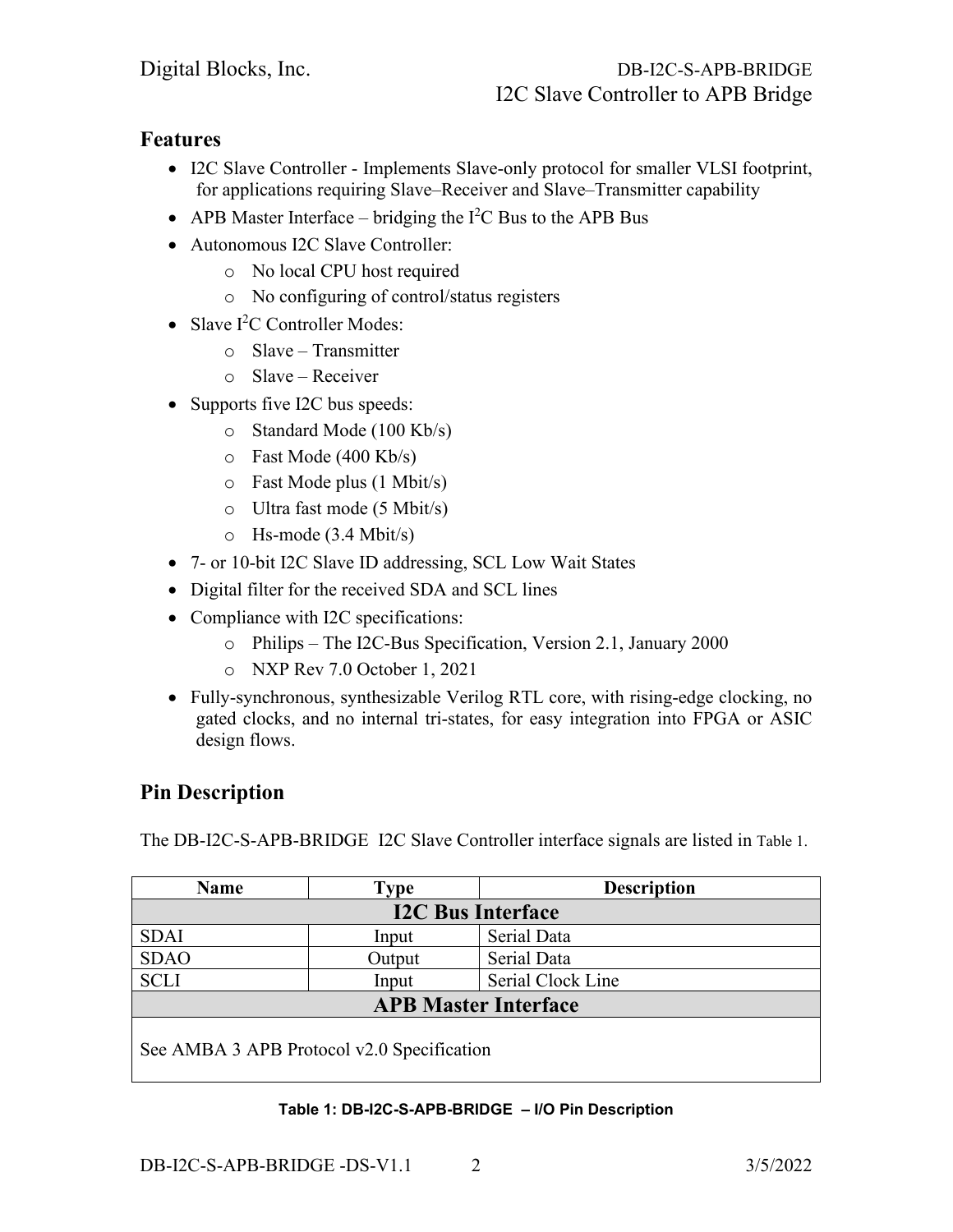## **Features**

- I2C Slave Controller Implements Slave-only protocol for smaller VLSI footprint, for applications requiring Slave–Receiver and Slave–Transmitter capability
- APB Master Interface bridging the  $I^2C$  Bus to the APB Bus
- Autonomous I2C Slave Controller:
	- o No local CPU host required
	- o No configuring of control/status registers
- Slave I<sup>2</sup>C Controller Modes:
	- o Slave Transmitter
	- o Slave Receiver
- Supports five I2C bus speeds:
	- o Standard Mode (100 Kb/s)
	- o Fast Mode (400 Kb/s)
	- o Fast Mode plus (1 Mbit/s)
	- o Ultra fast mode (5 Mbit/s)
	- o Hs-mode (3.4 Mbit/s)
- 7- or 10-bit I2C Slave ID addressing, SCL Low Wait States
- Digital filter for the received SDA and SCL lines
- Compliance with I2C specifications:
	- o Philips The I2C-Bus Specification, Version 2.1, January 2000
	- o NXP Rev 7.0 October 1, 2021
- Fully-synchronous, synthesizable Verilog RTL core, with rising-edge clocking, no gated clocks, and no internal tri-states, for easy integration into FPGA or ASIC design flows.

# **Pin Description**

The DB-I2C-S-APB-BRIDGE I2C Slave Controller interface signals are listed in Table 1.

| <b>Name</b>                                | Type   | <b>Description</b> |
|--------------------------------------------|--------|--------------------|
| <b>I2C Bus Interface</b>                   |        |                    |
| <b>SDAI</b>                                | Input  | Serial Data        |
| <b>SDAO</b>                                | Output | Serial Data        |
| <b>SCLI</b>                                | Input  | Serial Clock Line  |
| <b>APB Master Interface</b>                |        |                    |
|                                            |        |                    |
| See AMBA 3 APB Protocol v2.0 Specification |        |                    |

### **Table 1: DB-I2C-S-APB-BRIDGE – I/O Pin Description**